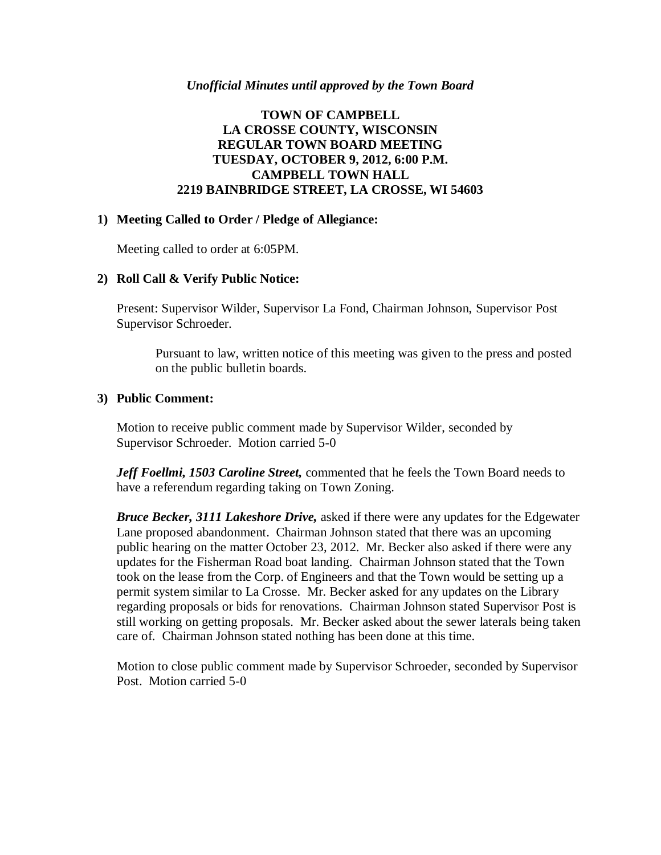#### *Unofficial Minutes until approved by the Town Board*

## **TOWN OF CAMPBELL LA CROSSE COUNTY, WISCONSIN REGULAR TOWN BOARD MEETING TUESDAY, OCTOBER 9, 2012, 6:00 P.M. CAMPBELL TOWN HALL 2219 BAINBRIDGE STREET, LA CROSSE, WI 54603**

### **1) Meeting Called to Order / Pledge of Allegiance:**

Meeting called to order at 6:05PM.

### **2) Roll Call & Verify Public Notice:**

Present: Supervisor Wilder, Supervisor La Fond, Chairman Johnson, Supervisor Post Supervisor Schroeder.

Pursuant to law, written notice of this meeting was given to the press and posted on the public bulletin boards.

### **3) Public Comment:**

Motion to receive public comment made by Supervisor Wilder, seconded by Supervisor Schroeder. Motion carried 5-0

*Jeff Foellmi, 1503 Caroline Street,* commented that he feels the Town Board needs to have a referendum regarding taking on Town Zoning.

*Bruce Becker, 3111 Lakeshore Drive,* asked if there were any updates for the Edgewater Lane proposed abandonment. Chairman Johnson stated that there was an upcoming public hearing on the matter October 23, 2012. Mr. Becker also asked if there were any updates for the Fisherman Road boat landing. Chairman Johnson stated that the Town took on the lease from the Corp. of Engineers and that the Town would be setting up a permit system similar to La Crosse. Mr. Becker asked for any updates on the Library regarding proposals or bids for renovations. Chairman Johnson stated Supervisor Post is still working on getting proposals. Mr. Becker asked about the sewer laterals being taken care of. Chairman Johnson stated nothing has been done at this time.

Motion to close public comment made by Supervisor Schroeder, seconded by Supervisor Post. Motion carried 5-0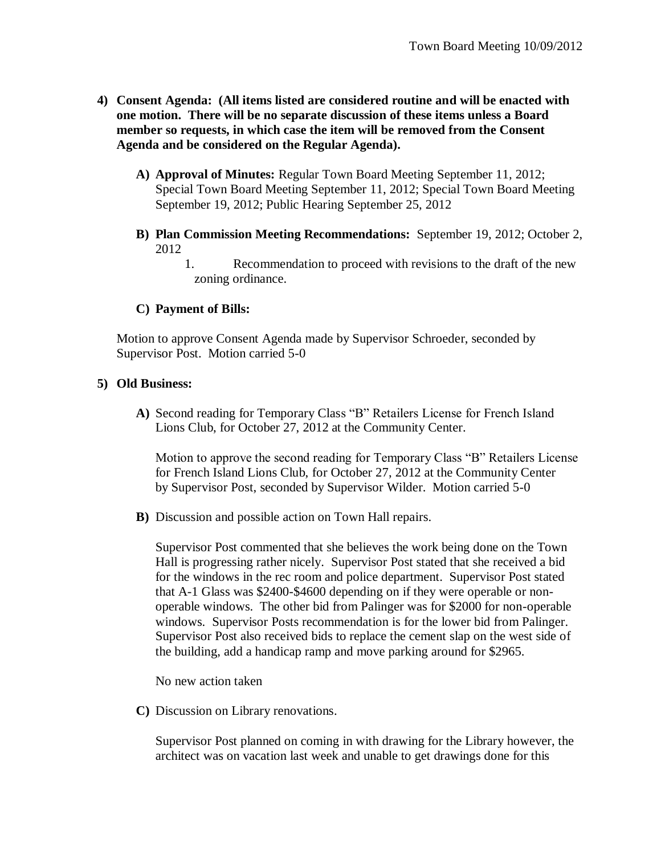- **4) Consent Agenda: (All items listed are considered routine and will be enacted with one motion. There will be no separate discussion of these items unless a Board member so requests, in which case the item will be removed from the Consent Agenda and be considered on the Regular Agenda).**
	- **A) Approval of Minutes:** Regular Town Board Meeting September 11, 2012; Special Town Board Meeting September 11, 2012; Special Town Board Meeting September 19, 2012; Public Hearing September 25, 2012
	- **B) Plan Commission Meeting Recommendations:** September 19, 2012; October 2, 2012
		- 1. Recommendation to proceed with revisions to the draft of the new zoning ordinance.

## **C) Payment of Bills:**

Motion to approve Consent Agenda made by Supervisor Schroeder, seconded by Supervisor Post. Motion carried 5-0

## **5) Old Business:**

**A)** Second reading for Temporary Class "B" Retailers License for French Island Lions Club, for October 27, 2012 at the Community Center.

Motion to approve the second reading for Temporary Class "B" Retailers License for French Island Lions Club, for October 27, 2012 at the Community Center by Supervisor Post, seconded by Supervisor Wilder. Motion carried 5-0

**B)** Discussion and possible action on Town Hall repairs.

Supervisor Post commented that she believes the work being done on the Town Hall is progressing rather nicely. Supervisor Post stated that she received a bid for the windows in the rec room and police department. Supervisor Post stated that A-1 Glass was \$2400-\$4600 depending on if they were operable or nonoperable windows. The other bid from Palinger was for \$2000 for non-operable windows. Supervisor Posts recommendation is for the lower bid from Palinger. Supervisor Post also received bids to replace the cement slap on the west side of the building, add a handicap ramp and move parking around for \$2965.

No new action taken

**C)** Discussion on Library renovations.

Supervisor Post planned on coming in with drawing for the Library however, the architect was on vacation last week and unable to get drawings done for this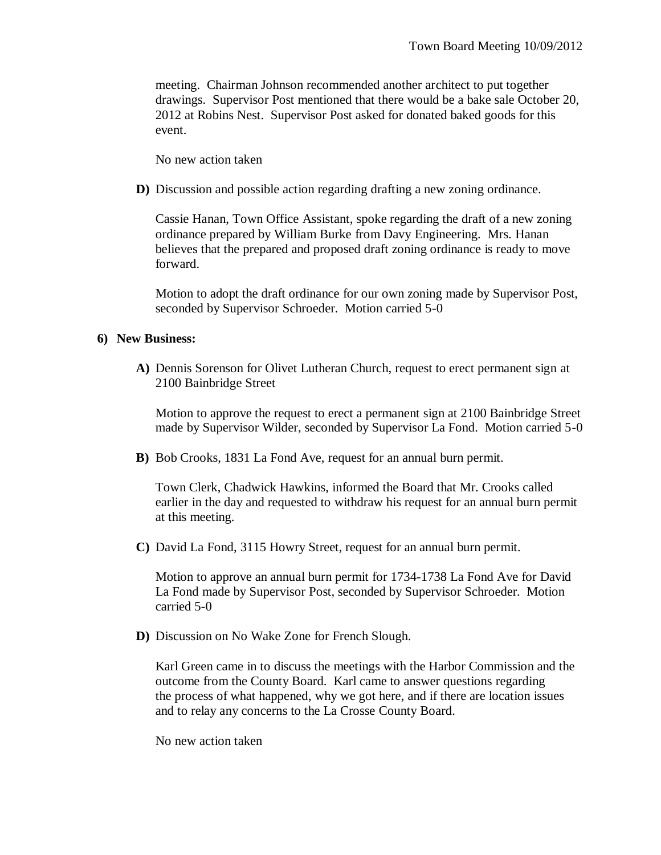meeting. Chairman Johnson recommended another architect to put together drawings. Supervisor Post mentioned that there would be a bake sale October 20, 2012 at Robins Nest. Supervisor Post asked for donated baked goods for this event.

No new action taken

**D)** Discussion and possible action regarding drafting a new zoning ordinance.

Cassie Hanan, Town Office Assistant, spoke regarding the draft of a new zoning ordinance prepared by William Burke from Davy Engineering. Mrs. Hanan believes that the prepared and proposed draft zoning ordinance is ready to move forward.

Motion to adopt the draft ordinance for our own zoning made by Supervisor Post, seconded by Supervisor Schroeder. Motion carried 5-0

### **6) New Business:**

**A)** Dennis Sorenson for Olivet Lutheran Church, request to erect permanent sign at 2100 Bainbridge Street

Motion to approve the request to erect a permanent sign at 2100 Bainbridge Street made by Supervisor Wilder, seconded by Supervisor La Fond. Motion carried 5-0

**B)** Bob Crooks, 1831 La Fond Ave, request for an annual burn permit.

Town Clerk, Chadwick Hawkins, informed the Board that Mr. Crooks called earlier in the day and requested to withdraw his request for an annual burn permit at this meeting.

**C)** David La Fond, 3115 Howry Street, request for an annual burn permit.

Motion to approve an annual burn permit for 1734-1738 La Fond Ave for David La Fond made by Supervisor Post, seconded by Supervisor Schroeder. Motion carried 5-0

**D)** Discussion on No Wake Zone for French Slough.

Karl Green came in to discuss the meetings with the Harbor Commission and the outcome from the County Board. Karl came to answer questions regarding the process of what happened, why we got here, and if there are location issues and to relay any concerns to the La Crosse County Board.

No new action taken